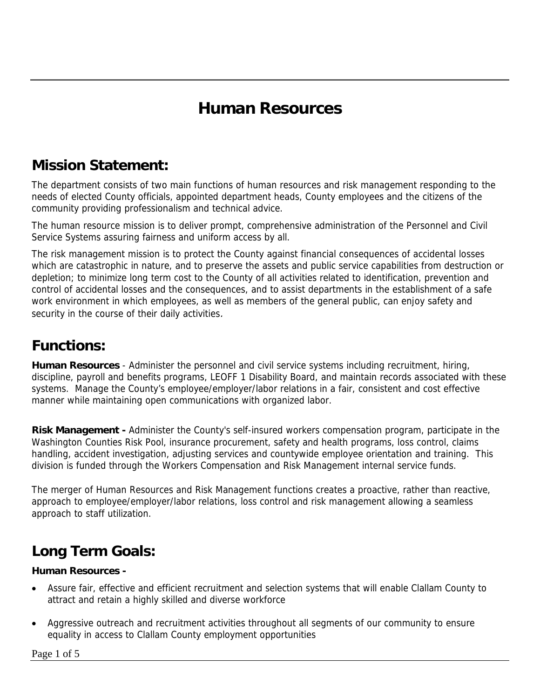# **Human Resources**

### **Mission Statement:**

The department consists of two main functions of human resources and risk management responding to the needs of elected County officials, appointed department heads, County employees and the citizens of the community providing professionalism and technical advice.

The human resource mission is to deliver prompt, comprehensive administration of the Personnel and Civil Service Systems assuring fairness and uniform access by all.

The risk management mission is to protect the County against financial consequences of accidental losses which are catastrophic in nature, and to preserve the assets and public service capabilities from destruction or depletion; to minimize long term cost to the County of all activities related to identification, prevention and control of accidental losses and the consequences, and to assist departments in the establishment of a safe work environment in which employees, as well as members of the general public, can enjoy safety and security in the course of their daily activities.

### **Functions:**

**Human Resources** - Administer the personnel and civil service systems including recruitment, hiring, discipline, payroll and benefits programs, LEOFF 1 Disability Board, and maintain records associated with these systems. Manage the County's employee/employer/labor relations in a fair, consistent and cost effective manner while maintaining open communications with organized labor.

**Risk Management -** Administer the County's self-insured workers compensation program, participate in the Washington Counties Risk Pool, insurance procurement, safety and health programs, loss control, claims handling, accident investigation, adjusting services and countywide employee orientation and training. This division is funded through the Workers Compensation and Risk Management internal service funds.

The merger of Human Resources and Risk Management functions creates a proactive, rather than reactive, approach to employee/employer/labor relations, loss control and risk management allowing a seamless approach to staff utilization.

# **Long Term Goals:**

#### **Human Resources -**

- Assure fair, effective and efficient recruitment and selection systems that will enable Clallam County to attract and retain a highly skilled and diverse workforce
- Aggressive outreach and recruitment activities throughout all segments of our community to ensure equality in access to Clallam County employment opportunities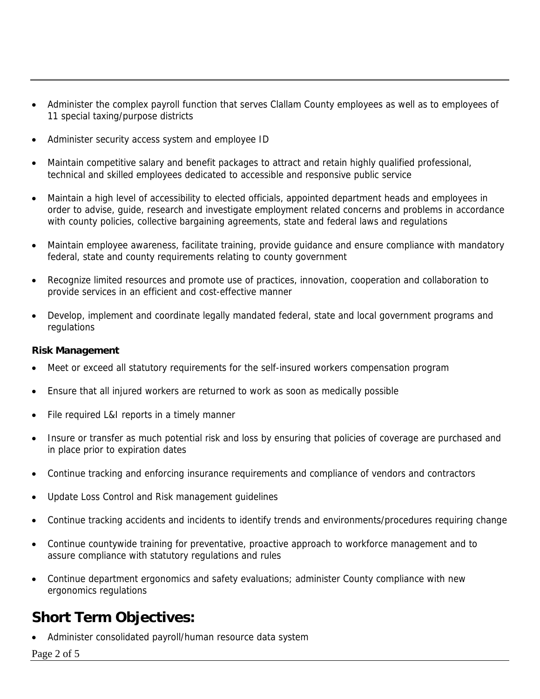- Administer the complex payroll function that serves Clallam County employees as well as to employees of 11 special taxing/purpose districts
- Administer security access system and employee ID
- Maintain competitive salary and benefit packages to attract and retain highly qualified professional, technical and skilled employees dedicated to accessible and responsive public service
- Maintain a high level of accessibility to elected officials, appointed department heads and employees in order to advise, guide, research and investigate employment related concerns and problems in accordance with county policies, collective bargaining agreements, state and federal laws and regulations
- Maintain employee awareness, facilitate training, provide guidance and ensure compliance with mandatory federal, state and county requirements relating to county government
- Recognize limited resources and promote use of practices, innovation, cooperation and collaboration to provide services in an efficient and cost-effective manner
- Develop, implement and coordinate legally mandated federal, state and local government programs and regulations

#### **Risk Management**

- Meet or exceed all statutory requirements for the self-insured workers compensation program
- Ensure that all injured workers are returned to work as soon as medically possible
- File required L&I reports in a timely manner
- Insure or transfer as much potential risk and loss by ensuring that policies of coverage are purchased and in place prior to expiration dates
- Continue tracking and enforcing insurance requirements and compliance of vendors and contractors
- Update Loss Control and Risk management guidelines
- Continue tracking accidents and incidents to identify trends and environments/procedures requiring change
- Continue countywide training for preventative, proactive approach to workforce management and to assure compliance with statutory regulations and rules
- Continue department ergonomics and safety evaluations; administer County compliance with new ergonomics regulations

#### **Short Term Objectives:**

• Administer consolidated payroll/human resource data system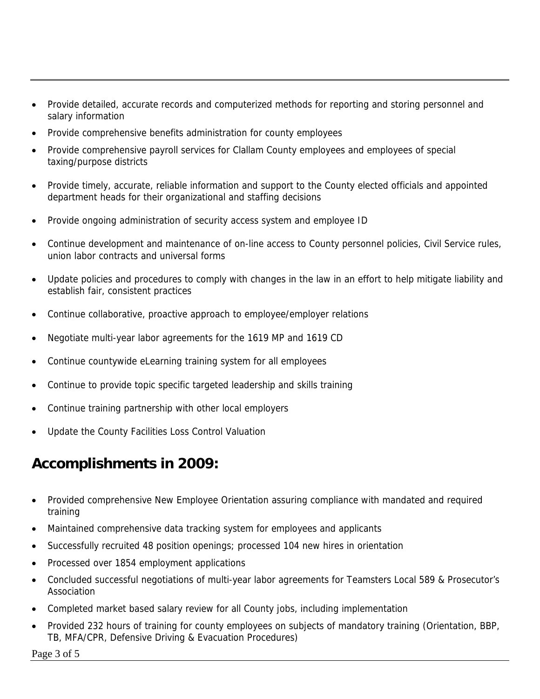- Provide detailed, accurate records and computerized methods for reporting and storing personnel and salary information
- Provide comprehensive benefits administration for county employees
- Provide comprehensive payroll services for Clallam County employees and employees of special taxing/purpose districts
- Provide timely, accurate, reliable information and support to the County elected officials and appointed department heads for their organizational and staffing decisions
- Provide ongoing administration of security access system and employee ID
- Continue development and maintenance of on-line access to County personnel policies, Civil Service rules, union labor contracts and universal forms
- Update policies and procedures to comply with changes in the law in an effort to help mitigate liability and establish fair, consistent practices
- Continue collaborative, proactive approach to employee/employer relations
- Negotiate multi-year labor agreements for the 1619 MP and 1619 CD
- Continue countywide eLearning training system for all employees
- Continue to provide topic specific targeted leadership and skills training
- Continue training partnership with other local employers
- Update the County Facilities Loss Control Valuation

## **Accomplishments in 2009:**

- Provided comprehensive New Employee Orientation assuring compliance with mandated and required training
- Maintained comprehensive data tracking system for employees and applicants
- Successfully recruited 48 position openings; processed 104 new hires in orientation
- Processed over 1854 employment applications
- Concluded successful negotiations of multi-year labor agreements for Teamsters Local 589 & Prosecutor's Association
- Completed market based salary review for all County jobs, including implementation
- Provided 232 hours of training for county employees on subjects of mandatory training (Orientation, BBP, TB, MFA/CPR, Defensive Driving & Evacuation Procedures)

Page 3 of 5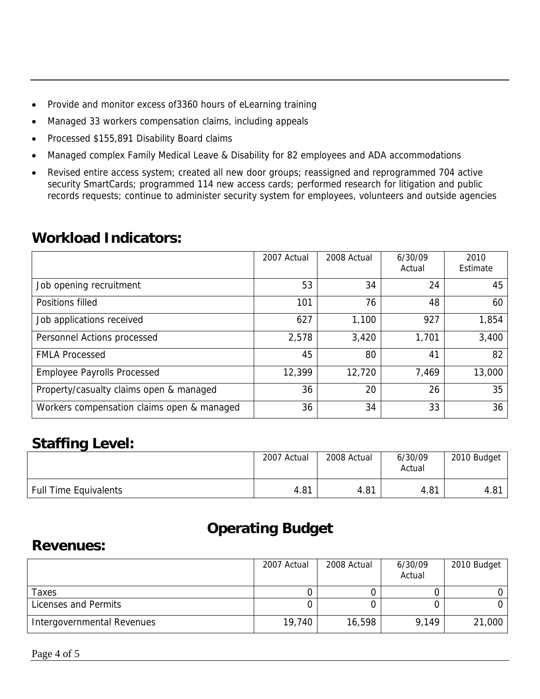- Provide and monitor excess of3360 hours of eLearning training
- Managed 33 workers compensation claims, including appeals
- Processed \$155,891 Disability Board claims
- Managed complex Family Medical Leave & Disability for 82 employees and ADA accommodations
- Revised entire access system; created all new door groups; reassigned and reprogrammed 704 active security SmartCards; programmed 114 new access cards; performed research for litigation and public records requests; continue to administer security system for employees, volunteers and outside agencies

### **Workload Indicators:**

|                                            | 2007 Actual | 2008 Actual | 6/30/09<br>Actual | 2010<br>Estimate |
|--------------------------------------------|-------------|-------------|-------------------|------------------|
| Job opening recruitment                    | 53          | 34          | 24                | 45               |
| Positions filled                           | 101         | 76          | 48                | 60               |
| Job applications received                  | 627         | 1,100       | 927               | 1,854            |
| Personnel Actions processed                | 2,578       | 3,420       | 1,701             | 3,400            |
| <b>FMLA Processed</b>                      | 45          | 80          | 41                | 82               |
| <b>Employee Payrolls Processed</b>         | 12,399      | 12,720      | 7,469             | 13,000           |
| Property/casualty claims open & managed    | 36          | 20          | 26                | 35               |
| Workers compensation claims open & managed | 36          | 34          | 33                | 36               |

#### **Staffing Level:**

|                              | 2007 Actual | 2008 Actual | 6/30/09<br>Actual | 2010 Budget |
|------------------------------|-------------|-------------|-------------------|-------------|
| <b>Full Time Equivalents</b> | 4.81        | 4.81        | 4.81              | 4.81        |

# **Operating Budget**

#### **Revenues:**

|                            | 2007 Actual | 2008 Actual | 6/30/09<br>Actual | 2010 Budget |
|----------------------------|-------------|-------------|-------------------|-------------|
| Taxes                      |             |             |                   |             |
| Licenses and Permits       |             |             |                   |             |
| Intergovernmental Revenues | 19,740      | 16,598      | 9.149             | 21,000      |